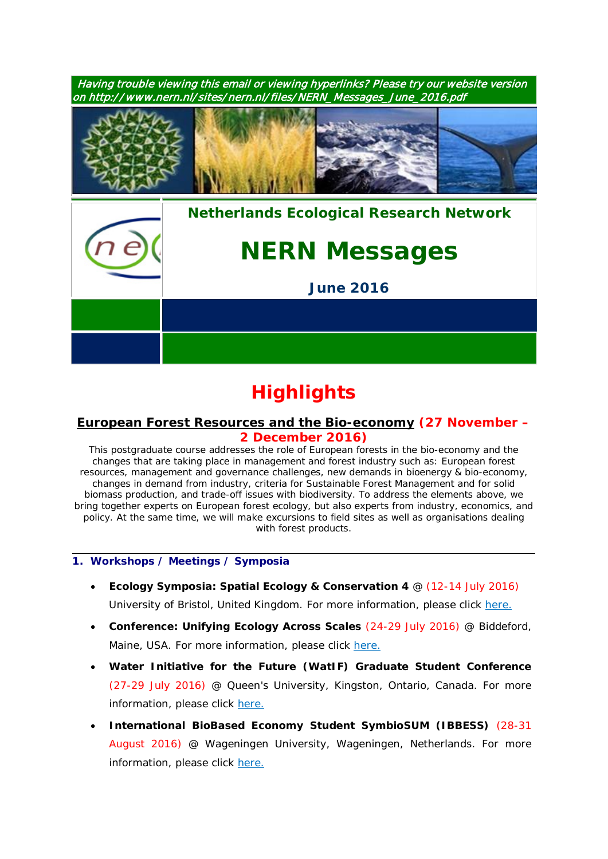

# **Highlights**

# *[European Forest Resources and the Bio-economy](https://www.pe-rc.nl/forest-resources)* **(27 November – 2 December 2016)**

This postgraduate course addresses the role of European forests in the bio-economy and the changes that are taking place in management and forest industry such as: European forest resources, management and governance challenges, new demands in bioenergy & bio-economy, changes in demand from industry, criteria for Sustainable Forest Management and for solid biomass production, and trade-off issues with biodiversity. To address the elements above, we bring together experts on European forest ecology, but also experts from industry, economics, and policy. At the same time, we will make excursions to field sites as well as organisations dealing with forest products.

#### **1. Workshops / Meetings / Symposia**

- **Ecology Symposia: Spatial Ecology & Conservation 4** @ (12-14 July 2016) University of Bristol, United Kingdom. For more information, please click [here.](http://www.ert-conservation.co.uk/sec4-introduction.php)
- **Conference: Unifying Ecology Across Scales** (24-29 July 2016) @ Biddeford, Maine, USA. For more information, please click [here.](https://www.grc.org/programs.aspx?id=13261)
- **Water Initiative for the Future (WatIF) Graduate Student Conference** (27-29 July 2016) @ Queen's University, Kingston, Ontario, Canada. For more information, please click [here.](http://www.waterinitiativeforthefuture.org/)
- **International BioBased Economy Student SymbioSUM (IBBESS)** (28-31 August 2016) @ Wageningen University, Wageningen, Netherlands. For more information, please click [here.](http://www.wageningenur.nl/en/activity/IBBESS-Conference-2015.htm)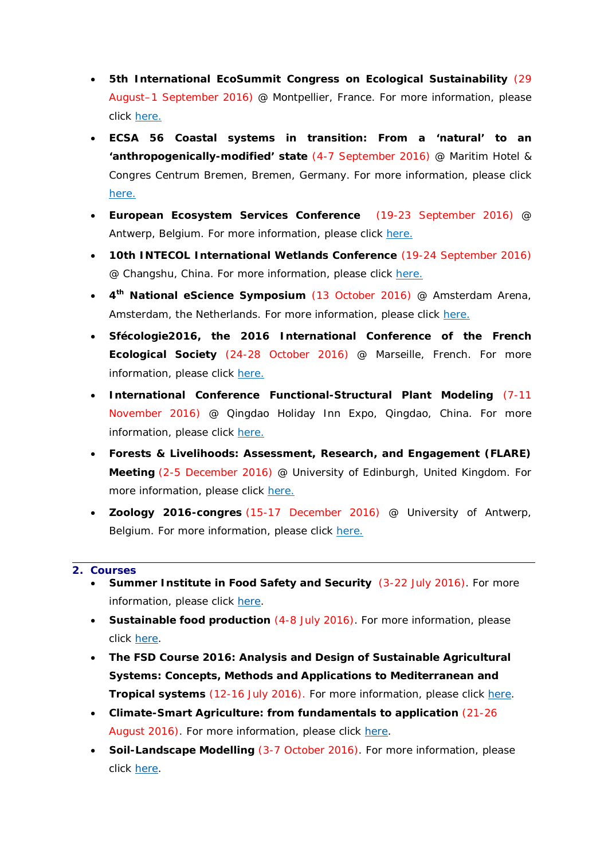- **5th International EcoSummit Congress on Ecological Sustainability** (29 August–1 September 2016) @ Montpellier, France. For more information, please click [here.](http://www.ecosummit2016.org/)
- **ECSA 56 Coastal systems in transition: From a 'natural' to an 'anthropogenically-modified' state** (4-7 September 2016) @ Maritim Hotel & Congres Centrum Bremen, Bremen, Germany. For more information, please click [here.](http://www.ecsa-news.org/)
- **European Ecosystem Services Conference** (19-23 September 2016) @ Antwerp, Belgium. For more information, please click [here.](http://www.esconference2016.eu/)
- **10th INTECOL International Wetlands Conference** (19-24 September 2016) @ Changshu, China. For more information, please click [here.](http://www.intecol-10iwc.com/EN/Index.aspx)
- **4th National eScience Symposium** (13 October 2016) @ Amsterdam Arena, Amsterdam, the Netherlands. For more information, please click [here.](http://www.esconference2016.eu/)
- **Sfécologie2016, the 2016 International Conference of the French Ecological Society** (24-28 October 2016) @ Marseille, French. For more information, please click [here.](http://sfecologie2016.sciencesconf.org/)
- **International Conference Functional-Structural Plant Modeling** (7-11 November 2016) @ Qingdao Holiday Inn Expo, Qingdao, China. For more information, please click [here.](http://www.fspma2016.net/dct/page/1)
- **Forests & Livelihoods: Assessment, Research, and Engagement (FLARE) Meeting** (2-5 December 2016) @ University of Edinburgh, United Kingdom. For more information, please click [here.](http://www.forestlivelihoods.org/flare-meeting-2016)
- **Zoology 2016-congres** (15-17 December 2016) @ University of Antwerp, Belgium. For more information, please click [here.](http://www.zoology2016.be/)

#### **2. Courses**

- **Summer Institute in Food Safety and Security** (3-22 July 2016). For more information, please click [here.](https://www.pe-rc.nl/sites/default/files/SummerMannaA4_2016.pdf)
- **Sustainable food production** (4-8 July 2016). For more information, please click [here.](http://www.utrechtsummerschool.nl/courses/science/future-food-utrecht-sustainable-food-production)
- **The FSD Course 2016: Analysis and Design of Sustainable Agricultural Systems: Concepts, Methods and Applications to Mediterranean and Tropical systems** (12-16 July 2016). For more information, please click [here.](http://www.nern.nl/sites/nern.nl/files/FSDCourse_2016_Flyer_V2.pdf)
- **Climate-Smart Agriculture: from fundamentals to application** (21-26 August 2016). For more information, please click [here.](https://www.pe-rc.nl/Climate-Smart-Agriculture)
- **Soil-Landscape Modelling** (3-7 October 2016). For more information, please click [here.](https://www.pe-rc.nl/soil-landscape-modelling)